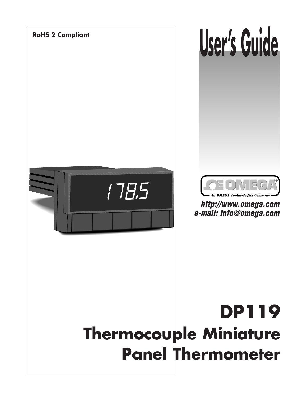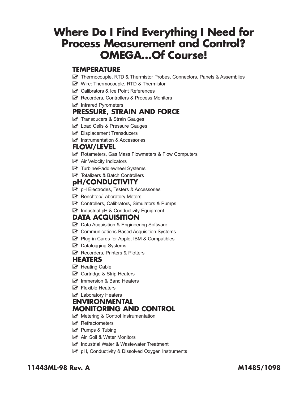# **Where Do I Find Everything I Need for Process Measurement and Control? OMEGA…Of Course!**

#### **TEMPERATURE**

- Thermocouple, RTD & Thermistor Probes, Connectors, Panels & Assemblies
- **Mullet** Wire: Thermocouple, RTD & Thermistor
- **M** Calibrators & Ice Point References
- **Musical Recorders, Controllers & Process Monitors**
- **M** Infrared Pyrometers

#### **PRESSURE, STRAIN AND FORCE**

- **M** Transducers & Strain Gauges
- M Load Cells & Pressure Gauges
- $\triangleright$  Displacement Transducers
- $\triangleright$  Instrumentation & Accessories

#### **FLOW/LEVEL**

- $\mathbb F$  Rotameters, Gas Mass Flowmeters & Flow Computers
- $\triangleright$  Air Velocity Indicators
- **M** Turbine/Paddlewheel Systems
- M Totalizers & Batch Controllers

#### **pH/CONDUCTIVITY**

- $M$  pH Electrodes, Testers & Accessories
- **M** Benchtop/Laboratory Meters
- $\mathbb F$  Controllers, Calibrators, Simulators & Pumps
- $\triangleright$  Industrial pH & Conductivity Equipment

#### **DATA ACQUISITION**

- $\triangleright$  Data Acquisition & Engineering Software
- $\mathbb F$  Communications-Based Acquisition Systems
- **M** Plug-in Cards for Apple, IBM & Compatibles
- M Datalogging Systems
- **M** Recorders, Printers & Plotters

#### **HEATERS**

- $\triangleright$  Heating Cable
- **M** Cartridge & Strip Heaters
- $\triangleright$  Immersion & Band Heaters
- $\triangleright$  Flexible Heaters
- $\triangleright$  Laboratory Heaters

#### **ENVIRONMENTAL MONITORING AND CONTROL**

- $\mathbb F$  Metering & Control Instrumentation
- $\triangleright$  Refractometers
- $\triangleright$  Pumps & Tubing
- **M** Air, Soil & Water Monitors
- $\triangleright$  Industrial Water & Wastewater Treatment
- D<sup>u</sup> pH, Conductivity & Dissolved Oxygen Instruments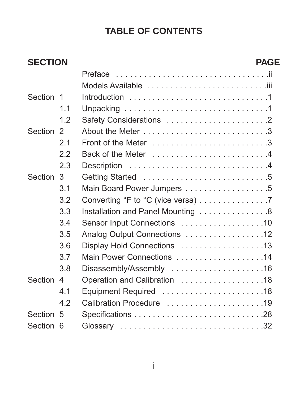# **TABLE OF CONTENTS**

| <b>SECTION</b> |     |                                    | <b>PAGE</b> |
|----------------|-----|------------------------------------|-------------|
|                |     |                                    |             |
|                |     |                                    |             |
| Section 1      |     |                                    |             |
|                | 1.1 |                                    |             |
|                | 1.2 |                                    |             |
| Section 2      |     |                                    |             |
|                | 2.1 |                                    |             |
|                | 2.2 |                                    |             |
|                | 2.3 |                                    |             |
| Section 3      |     |                                    |             |
|                | 3.1 | Main Board Power Jumpers 5         |             |
|                | 3.2 | Converting °F to °C (vice versa) 7 |             |
|                | 3.3 | Installation and Panel Mounting 8  |             |
|                | 3.4 | Sensor Input Connections 10        |             |
|                | 3.5 | Analog Output Connections 12       |             |
|                | 3.6 | Display Hold Connections 13        |             |
|                | 3.7 |                                    |             |
|                | 3.8 | Disassembly/Assembly 16            |             |
| Section 4      |     | Operation and Calibration 18       |             |
|                | 4.1 |                                    |             |
|                | 4.2 | Calibration Procedure 19           |             |
| Section 5      |     |                                    |             |
| Section 6      |     |                                    |             |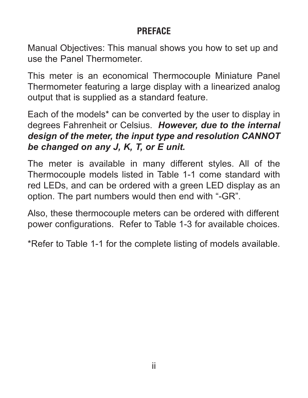### **PREFACE**

Manual Objectives: This manual shows you how to set up and use the Panel Thermometer.

This meter is an economical Thermocouple Miniature Panel Thermometer featuring a large display with a linearized analog output that is supplied as a standard feature.

Each of the models\* can be converted by the user to display in degrees Fahrenheit or Celsius. *However, due to the internal design of the meter, the input type and resolution CANNOT be changed on any J, K, T, or E unit.*

The meter is available in many different styles. All of the Thermocouple models listed in Table 1-1 come standard with red LEDs, and can be ordered with a green LED display as an option. The part numbers would then end with "-GR".

Also, these thermocouple meters can be ordered with different power configurations. Refer to Table 1-3 for available choices.

\*Refer to Table 1-1 for the complete listing of models available.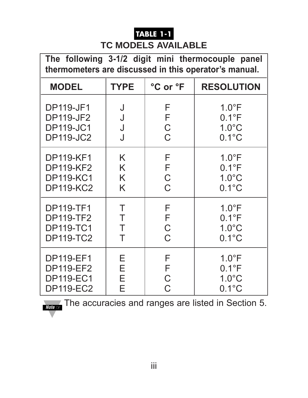# **TABLE 1-1**

#### **TC MODELS AVAILABLE**

**The following 3-1/2 digit mini thermocouple panel thermometers are discussed in this operator's manual.**

| <b>MODEL</b>     | <b>TYPE</b> | °C or °F       | <b>RESOLUTION</b> |
|------------------|-------------|----------------|-------------------|
| <b>DP119-JF1</b> | J           | F              | $1.0^{\circ}$ F   |
| <b>DP119-JF2</b> | J           | F              | $0.1^{\circ}F$    |
| <b>DP119-JC1</b> | J           | $\overline{C}$ | $1.0^{\circ}$ C   |
| <b>DP119-JC2</b> | J           | $\overline{C}$ | $0.1^{\circ}$ C   |
| <b>DP119-KF1</b> | K           | F              | $1.0^{\circ}F$    |
| <b>DP119-KF2</b> | K           | F              | $0.1^{\circ}F$    |
| <b>DP119-KC1</b> | K           | $\overline{C}$ | $1.0^{\circ}$ C   |
| <b>DP119-KC2</b> | K           | $\overline{C}$ | $0.1^{\circ}$ C   |
| <b>DP119-TF1</b> | Τ           | F              | $1.0^{\circ}F$    |
| <b>DP119-TF2</b> | Τ           | F              | $0.1^{\circ}F$    |
| <b>DP119-TC1</b> | Τ           | $\overline{C}$ | $1.0^{\circ}$ C   |
| <b>DP119-TC2</b> | Τ           | $\overline{C}$ | $0.1^{\circ}$ C   |
| <b>DP119-EF1</b> | Е           | F              | $1.0^{\circ}F$    |
| <b>DP119-EF2</b> | Ε           | F              | $0.1^{\circ}$ F   |
| <b>DP119-EC1</b> | Е           | C              | $1.0^{\circ}$ C   |
| <b>DP119-EC2</b> | Е           | $\overline{C}$ | $0.1^{\circ}$ C   |

**Note** ☞ The accuracies and ranges are listed in Section 5.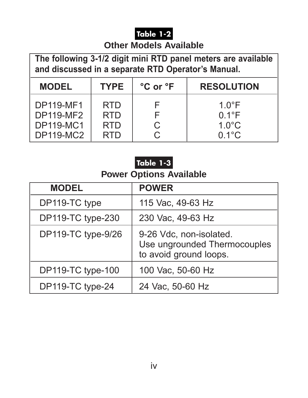### **Table 1-2**

#### **Other Models Available**

**The following 3-1/2 digit mini RTD panel meters are available and discussed in a separate RTD Operator's Manual.**

| <b>MODEL</b>     | <b>TYPE</b> | °C or °F | <b>RESOLUTION</b> |
|------------------|-------------|----------|-------------------|
| <b>DP119-MF1</b> | <b>RTD</b>  |          | $1.0^{\circ}$ F   |
| <b>DP119-MF2</b> | <b>RTD</b>  |          | $0.1^{\circ}F$    |
| <b>DP119-MC1</b> | <b>RTD</b>  | C        | $1.0^{\circ}$ C   |
| <b>DP119-MC2</b> | <b>RTD</b>  |          | $0.1^{\circ}$ C   |

# **Table 1-3**

### **Power Options Available**

| <b>MODEL</b>       | <b>POWER</b>                                                                      |
|--------------------|-----------------------------------------------------------------------------------|
| DP119-TC type      | 115 Vac, 49-63 Hz                                                                 |
| DP119-TC type-230  | 230 Vac, 49-63 Hz                                                                 |
| DP119-TC type-9/26 | 9-26 Vdc, non-isolated.<br>Use ungrounded Thermocouples<br>to avoid ground loops. |
| DP119-TC type-100  | 100 Vac, 50-60 Hz                                                                 |
| DP119-TC type-24   | 24 Vac, 50-60 Hz                                                                  |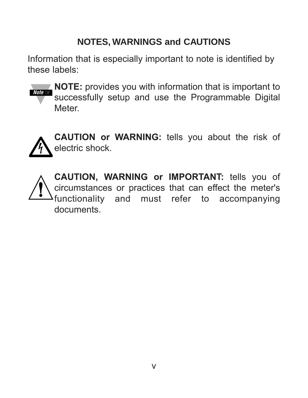# **NOTES, WARNINGS and CAUTIONS**

Information that is especially important to note is identified by these labels:



**NOTE:** provides you with information that is important to successfully setup and use the Programmable Digital Meter.



**CAUTION or WARNING:** tells you about the risk of electric shock.

**CAUTION, WARNING or IMPORTANT:** tells you of circumstances or practices that can effect the meter's functionality and must refer to accompanying documents.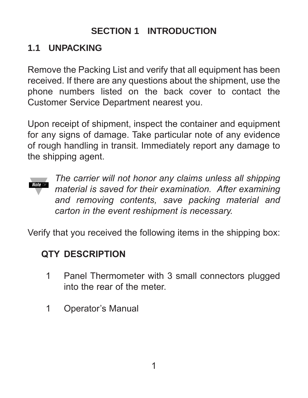# **SECTION 1 INTRODUCTION**

### **1.1 UNPACKING**

Remove the Packing List and verify that all equipment has been received. If there are any questions about the shipment, use the phone numbers listed on the back cover to contact the Customer Service Department nearest you.

Upon receipt of shipment, inspect the container and equipment for any signs of damage. Take particular note of any evidence of rough handling in transit. Immediately report any damage to the shipping agent.



*The carrier will not honor any claims unless all shipping material is saved for their examination. After examining and removing contents, save packing material and carton in the event reshipment is necessary.*

Verify that you received the following items in the shipping box:

### **QTY DESCRIPTION**

- 1 Panel Thermometer with 3 small connectors plugged into the rear of the meter.
- 1 Operator's Manual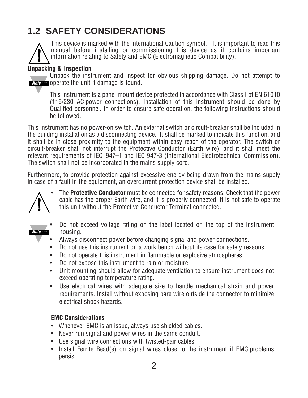# **1.2 SAFETY CONSIDERATIONS**



This device is marked with the international Caution symbol. It is important to read this manual before installing or commissioning this device as it contains important information relating to Safety and EMC (Electromagnetic Compatibility).

#### **Unpacking & Inspection**

Unpack the instrument and inspect for obvious shipping damage. Do not attempt to **Note ☞ <code>operate</code> the unit if damage is found.** 

This instrument is a panel mount device protected in accordance with Class I of EN 61010 (115/230 AC power connections). Installation of this instrument should be done by Qualified personnel. In order to ensure safe operation, the following instructions should be followed.

This instrument has no power-on switch. An external switch or circuit-breaker shall be included in the building installation as a disconnecting device. It shall be marked to indicate this function, and it shall be in close proximity to the equipment within easy reach of the operator. The switch or circuit-breaker shall not interrupt the Protective Conductor (Earth wire), and it shall meet the relevant requirements of IEC 947–1 and IEC 947-3 (International Electrotechnical Commission). The switch shall not be incorporated in the mains supply cord.

Furthermore, to provide protection against excessive energy being drawn from the mains supply in case of a fault in the equipment, an overcurrent protection device shall be installed.



• The **Protective Conductor** must be connected for safety reasons. Check that the power cable has the proper Earth wire, and it is properly connected. It is not safe to operate this unit without the Protective Conductor Terminal connected.

- **Note** ☞
- Do not exceed voltage rating on the label located on the top of the instrument housing.
- Always disconnect power before changing signal and power connections.
- Do not use this instrument on a work bench without its case for safety reasons.
- Do not operate this instrument in flammable or explosive atmospheres.
- Do not expose this instrument to rain or moisture.
- Unit mounting should allow for adequate ventilation to ensure instrument does not exceed operating temperature rating.
- Use electrical wires with adequate size to handle mechanical strain and power requirements. Install without exposing bare wire outside the connector to minimize electrical shock hazards.

#### **EMC Considerations**

- Whenever EMC is an issue, always use shielded cables.
- Never run signal and power wires in the same conduit.
- Use signal wire connections with twisted-pair cables.
- Install Ferrite Bead(s) on signal wires close to the instrument if EMC problems persist.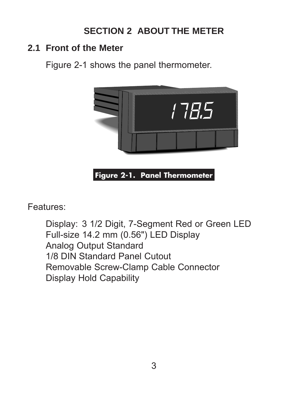# **SECTION 2 ABOUT THE METER**

#### **2.1 Front of the Meter**

Figure 2-1 shows the panel thermometer.



Features:

Display: 3 1/2 Digit, 7-Segment Red or Green LED Full-size 14.2 mm (0.56") LED Display Analog Output Standard 1/8 DIN Standard Panel Cutout Removable Screw-Clamp Cable Connector Display Hold Capability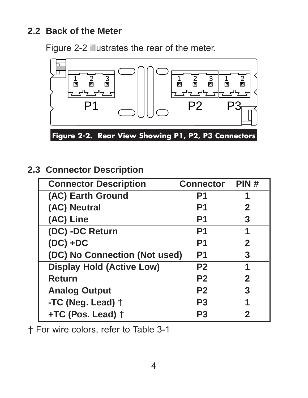### **2.2 Back of the Meter**

Figure 2-2 illustrates the rear of the meter.



**Figure 2-2. Rear View Showing P1, P2, P3 Connectors**

**2.3 Connector Description**

| <b>Connector Description</b>     | <b>Connector</b> | PIN#         |
|----------------------------------|------------------|--------------|
| (AC) Earth Ground                | P <sub>1</sub>   |              |
| (AC) Neutral                     | P1               | $\mathbf{2}$ |
| (AC) Line                        | P1               | 3            |
| (DC) -DC Return                  | P1               |              |
| $(DC) + DC$                      | P1               | $\mathbf{2}$ |
| (DC) No Connection (Not used)    | P1               | 3            |
| <b>Display Hold (Active Low)</b> | P <sub>2</sub>   | 1            |
| <b>Return</b>                    | P <sub>2</sub>   | $\mathbf{2}$ |
| <b>Analog Output</b>             | P <sub>2</sub>   | 3            |
| -TC (Neg. Lead) +                | <b>P3</b>        | 1            |
| +TC (Pos. Lead) +                | P3               | 2            |

† For wire colors, refer to Table 3-1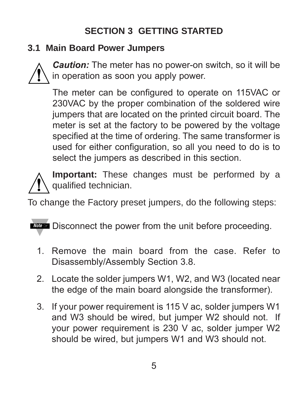# **SECTION 3 GETTING STARTED**

### **3.1 Main Board Power Jumpers**



*Caution:* The meter has no power-on switch, so it will be in operation as soon you apply power.

The meter can be configured to operate on 115VAC or 230VAC by the proper combination of the soldered wire jumpers that are located on the printed circuit board. The meter is set at the factory to be powered by the voltage specified at the time of ordering. The same transformer is used for either configuration, so all you need to do is to select the jumpers as described in this section.



**Important:** These changes must be performed by a qualified technician.

To change the Factory preset jumpers, do the following steps:

Mote <sup>■</sup> Disconnect the power from the unit before proceeding.

- 1. Remove the main board from the case. Refer to Disassembly/Assembly Section 3.8.
- 2. Locate the solder jumpers W1, W2, and W3 (located near the edge of the main board alongside the transformer).
- 3. If your power requirement is 115 V ac, solder jumpers W1 and W3 should be wired, but jumper W2 should not. If your power requirement is 230 V ac, solder jumper W2 should be wired, but jumpers W1 and W3 should not.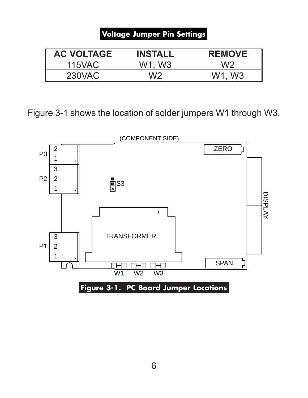#### **Voltage Jumper Pin Settings**

| <b>AC VOLTAGE</b> | <b>INSTALL</b> | <b>REMOVE</b> |
|-------------------|----------------|---------------|
| 115VAC            | W1. W3         |               |
| 230VAC            | W <sub>2</sub> | W1. W3        |

Figure 3-1 shows the location of solder jumpers W1 through W3.

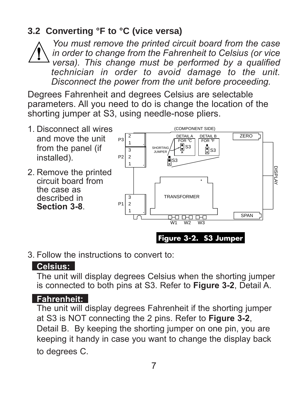# **3.2 Converting °F to °C (vice versa)**

*You must remove the printed circuit board from the case in order to change from the Fahrenheit to Celsius (or vice versa). This change must be performed by a qualified technician in order to avoid damage to the unit. Disconnect the power from the unit before proceeding.*

Degrees Fahrenheit and degrees Celsius are selectable parameters. All you need to do is change the location of the shorting jumper at S3, using needle-nose pliers.



3. Follow the instructions to convert to:

#### **Celsius:** .

The unit will display degrees Celsius when the shorting jumper is connected to both pins at S3. Refer to **Figure 3-2**, Detail A.

#### **Fahrenheit:** .

The unit will display degrees Fahrenheit if the shorting jumper at S3 is NOT connecting the 2 pins. Refer to **Figure 3-2**, Detail B. By keeping the shorting jumper on one pin, you are keeping it handy in case you want to change the display back to degrees C.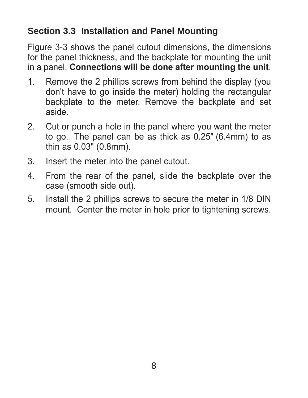### **Section 3.3 Installation and Panel Mounting**

Figure 3-3 shows the panel cutout dimensions, the dimensions for the panel thickness, and the backplate for mounting the unit in a panel. **Connections will be done after mounting the unit**.

- 1. Remove the 2 phillips screws from behind the display (you don't have to go inside the meter) holding the rectangular backplate to the meter. Remove the backplate and set aside.
- 2. Cut or punch a hole in the panel where you want the meter to go. The panel can be as thick as 0.25" (6.4mm) to as thin as 0.03" (0.8mm).
- 3. Insert the meter into the panel cutout.
- 4. From the rear of the panel, slide the backplate over the case (smooth side out).
- 5. Install the 2 phillips screws to secure the meter in 1/8 DIN mount. Center the meter in hole prior to tightening screws.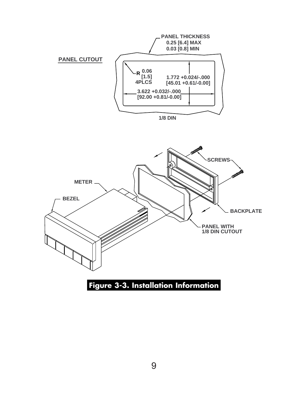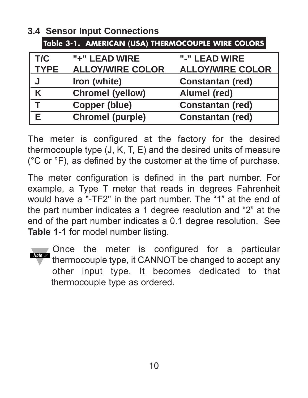| Table 3-1. AMERICAN (USA) THERMOCOUPLE WIRE COLORS |                         |                         |  |
|----------------------------------------------------|-------------------------|-------------------------|--|
| T/C                                                | "+" LEAD WIRE           | "-" LEAD WIRE           |  |
| <b>TYPE</b>                                        | <b>ALLOY/WIRE COLOR</b> | <b>ALLOY/WIRE COLOR</b> |  |
| J                                                  | Iron (white)            | <b>Constantan (red)</b> |  |
| K                                                  | <b>Chromel (yellow)</b> | Alumel (red)            |  |
|                                                    | <b>Copper (blue)</b>    | <b>Constantan (red)</b> |  |
|                                                    | <b>Chromel (purple)</b> | <b>Constantan (red)</b> |  |

**3.4 Sensor Input Connections**

The meter is configured at the factory for the desired thermocouple type (J, K, T, E) and the desired units of measure ( $^{\circ}$ C or  $^{\circ}$ F), as defined by the customer at the time of purchase.

The meter configuration is defined in the part number. For example, a Type T meter that reads in degrees Fahrenheit would have a "-TF2" in the part number. The "1" at the end of the part number indicates a 1 degree resolution and "2" at the end of the part number indicates a 0.1 degree resolution. See **Table 1-1** for model number listing.

Once the meter is configured for a particular thermocouple type, it CANNOT be changed to accept any other input type. It becomes dedicated to that thermocouple type as ordered. **Note** ☞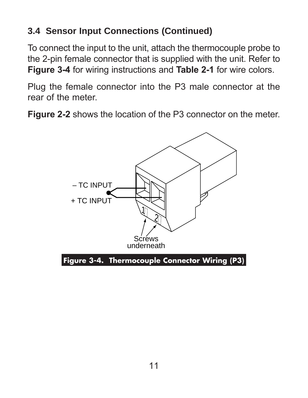# **3.4 Sensor Input Connections (Continued)**

To connect the input to the unit, attach the thermocouple probe to the 2-pin female connector that is supplied with the unit. Refer to **Figure 3-4** for wiring instructions and **Table 2-1** for wire colors.

Plug the female connector into the P3 male connector at the rear of the meter.

**Figure 2-2** shows the location of the P3 connector on the meter.

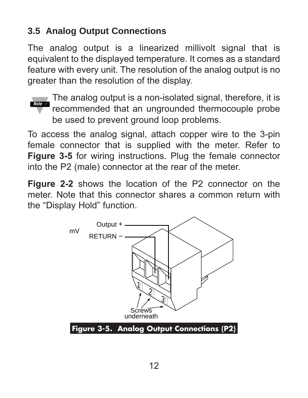# **3.5 Analog Output Connections**

The analog output is a linearized millivolt signal that is equivalent to the displayed temperature. It comes as a standard feature with every unit. The resolution of the analog output is no greater than the resolution of the display.



 $\blacksquare$  The analog output is a non-isolated signal, therefore, it is recommended that an ungrounded thermocouple probe be used to prevent ground loop problems.

To access the analog signal, attach copper wire to the 3-pin female connector that is supplied with the meter. Refer to **Figure 3-5** for wiring instructions. Plug the female connector into the P2 (male) connector at the rear of the meter.

**Figure 2-2** shows the location of the P2 connector on the meter. Note that this connector shares a common return with the "Display Hold" function.

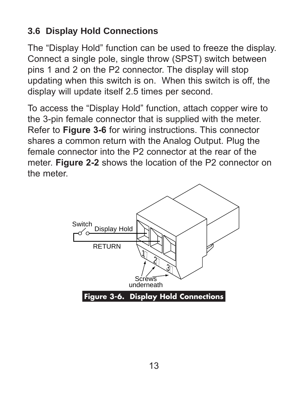# **3.6 Display Hold Connections**

The "Display Hold" function can be used to freeze the display. Connect a single pole, single throw (SPST) switch between pins 1 and 2 on the P2 connector. The display will stop updating when this switch is on. When this switch is off, the display will update itself 2.5 times per second.

To access the "Display Hold" function, attach copper wire to the 3-pin female connector that is supplied with the meter. Refer to **Figure 3-6** for wiring instructions. This connector shares a common return with the Analog Output. Plug the female connector into the P2 connector at the rear of the meter. **Figure 2-2** shows the location of the P2 connector on the meter.

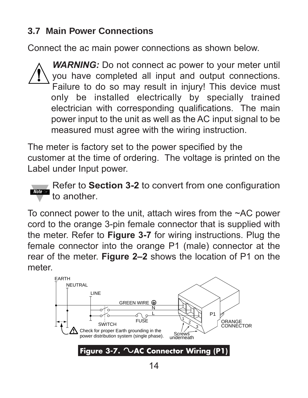### **3.7 Main Power Connections**

Connect the ac main power connections as shown below.

**WARNING:** Do not connect ac power to your meter until you have completed all input and output connections. Failure to do so may result in injury! This device must only be installed electrically by specially trained electrician with corresponding qualifications. The main power input to the unit as well as the AC input signal to be measured must agree with the wiring instruction.

The meter is factory set to the power specified by the customer at the time of ordering. The voltage is printed on the Label under Input power.



Refer to **Section 3-2** to convert from one configuration to another.

To connect power to the unit, attach wires from the ~AC power cord to the orange 3-pin female connector that is supplied with the meter. Refer to **Figure 3-7** for wiring instructions. Plug the female connector into the orange P1 (male) connector at the rear of the meter. **Figure 2–2** shows the location of P1 on the meter.

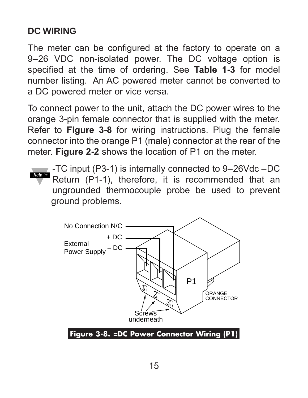# **DC WIRING**

The meter can be configured at the factory to operate on a 9–26 VDC non-isolated power. The DC voltage option is specified at the time of ordering. See **Table 1-3** for model number listing. An AC powered meter cannot be converted to a DC powered meter or vice versa.

To connect power to the unit, attach the DC power wires to the orange 3-pin female connector that is supplied with the meter. Refer to **Figure 3-8** for wiring instructions. Plug the female connector into the orange P1 (male) connector at the rear of the meter. **Figure 2-2** shows the location of P1 on the meter.

-TC input (P3-1) is internally connected to 9–26Vdc –DC Return (P1-1), therefore, it is recommended that an ungrounded thermocouple probe be used to prevent ground problems. **Note** ☞

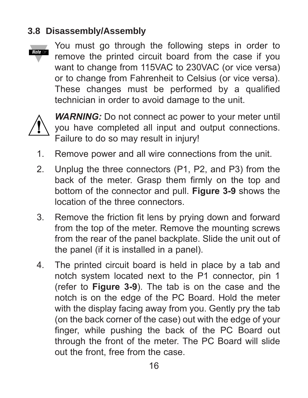### **3.8 Disassembly/Assembly**



You must go through the following steps in order to remove the printed circuit board from the case if you want to change from 115VAC to 230VAC (or vice versa) or to change from Fahrenheit to Celsius (or vice versa). These changes must be performed by a qualified technician in order to avoid damage to the unit.



*WARNING:* Do not connect ac power to your meter until you have completed all input and output connections. Failure to do so may result in injury!

- 1. Remove power and all wire connections from the unit.
- 2. Unplug the three connectors (P1, P2, and P3) from the back of the meter. Grasp them firmly on the top and bottom of the connector and pull. **Figure 3-9** shows the location of the three connectors.
- 3. Remove the friction fit lens by prying down and forward from the top of the meter. Remove the mounting screws from the rear of the panel backplate. Slide the unit out of the panel (if it is installed in a panel).
- 4. The printed circuit board is held in place by a tab and notch system located next to the P1 connector, pin 1 (refer to **Figure 3-9**). The tab is on the case and the notch is on the edge of the PC Board. Hold the meter with the display facing away from you. Gently pry the tab (on the back corner of the case) out with the edge of your finger, while pushing the back of the PC Board out through the front of the meter. The PC Board will slide out the front, free from the case.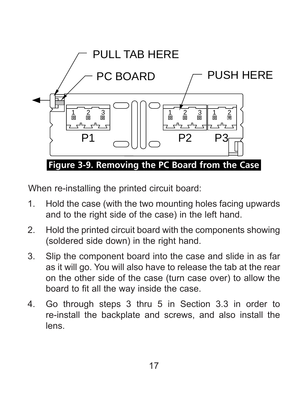

When re-installing the printed circuit board:

- 1. Hold the case (with the two mounting holes facing upwards and to the right side of the case) in the left hand.
- 2. Hold the printed circuit board with the components showing (soldered side down) in the right hand.
- 3. Slip the component board into the case and slide in as far as it will go. You will also have to release the tab at the rear on the other side of the case (turn case over) to allow the board to fit all the way inside the case.
- 4. Go through steps 3 thru 5 in Section 3.3 in order to re-install the backplate and screws, and also install the lens.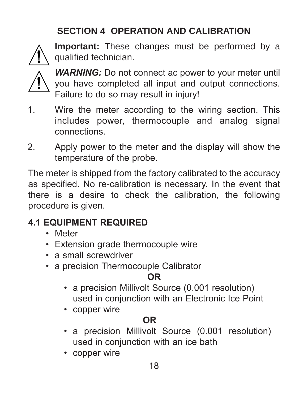# **SECTION 4 OPERATION AND CALIBRATION**



**Important:** These changes must be performed by a qualified technician.



*WARNING:* Do not connect ac power to your meter until you have completed all input and output connections. Failure to do so may result in injury!

- 1. Wire the meter according to the wiring section. This includes power, thermocouple and analog signal connections.
- 2. Apply power to the meter and the display will show the temperature of the probe.

The meter is shipped from the factory calibrated to the accuracy as specified. No re-calibration is necessary. In the event that there is a desire to check the calibration, the following procedure is given.

# **4.1 EQUIPMENT REQUIRED**

- Meter
- Extension grade thermocouple wire
- a small screwdriver
- a precision Thermocouple Calibrator

### **OR**

- a precision Millivolt Source (0.001 resolution) used in conjunction with an Electronic Ice Point
- copper wire

# **OR**

- a precision Millivolt Source (0.001 resolution) used in conjunction with an ice bath
- copper wire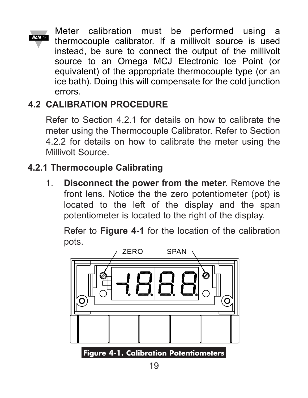Meter calibration must be performed using a thermocouple calibrator. If a millivolt source is used instead, be sure to connect the output of the millivolt source to an Omega MCJ Electronic Ice Point (or equivalent) of the appropriate thermocouple type (or an ice bath). Doing this will compensate for the cold junction errors. **Note** ☞

# **4.2 CALIBRATION PROCEDURE**

Refer to Section 4.2.1 for details on how to calibrate the meter using the Thermocouple Calibrator. Refer to Section 4.2.2 for details on how to calibrate the meter using the Millivolt Source.

### **4.2.1 Thermocouple Calibrating**

1. **Disconnect the power from the meter.** Remove the front lens. Notice the the zero potentiometer (pot) is located to the left of the display and the span potentiometer is located to the right of the display.

Refer to **Figure 4-1** for the location of the calibration pots.

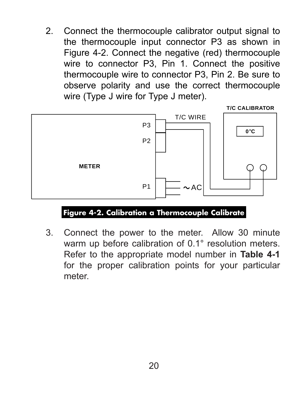2. Connect the thermocouple calibrator output signal to the thermocouple input connector P3 as shown in Figure 4-2. Connect the negative (red) thermocouple wire to connector P3, Pin 1. Connect the positive thermocouple wire to connector P3, Pin 2. Be sure to observe polarity and use the correct thermocouple wire (Type J wire for Type J meter).



#### **Figure 4-2. Calibration a Thermocouple Calibrate**

3. Connect the power to the meter. Allow 30 minute warm up before calibration of 0.1° resolution meters. Refer to the appropriate model number in **Table 4-1** for the proper calibration points for your particular meter.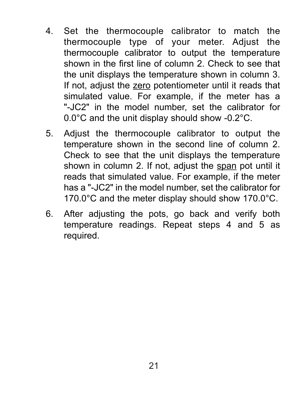- 4. Set the thermocouple calibrator to match the thermocouple type of your meter. Adjust the thermocouple calibrator to output the temperature shown in the first line of column 2. Check to see that the unit displays the temperature shown in column 3. If not, adjust the zero potentiometer until it reads that simulated value. For example, if the meter has a "-JC2" in the model number, set the calibrator for 0.0°C and the unit display should show -0.2°C.
- 5. Adjust the thermocouple calibrator to output the temperature shown in the second line of column 2. Check to see that the unit displays the temperature shown in column 2. If not, adjust the span pot until it reads that simulated value. For example, if the meter has a "-JC2" in the model number, set the calibrator for 170.0°C and the meter display should show 170.0°C.
- 6. After adjusting the pots, go back and verify both temperature readings. Repeat steps 4 and 5 as required.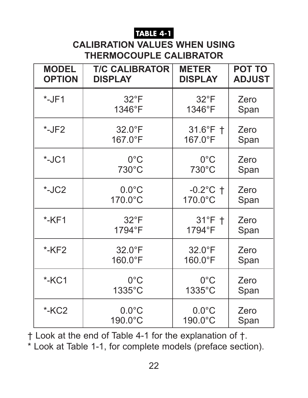#### **TABLE 4-1**

### **CALIBRATION VALUES WHEN USING THERMOCOUPLE CALIBRATOR**

| <b>MODEL</b>  | <b>T/C CALIBRATOR</b> | <b>METER</b>    | <b>POT TO</b> |
|---------------|-----------------------|-----------------|---------------|
| <b>OPTION</b> | <b>DISPLAY</b>        | <b>DISPLAY</b>  | <b>ADJUST</b> |
| $*$ -JF1      | $32^{\circ}F$         | $32^{\circ}F$   | Zero          |
|               | 1346°F                | 1346°F          | Span          |
| $*$ -JF2      | 32.0°F                | 31.6°F +        | Zero          |
|               | 167.0°F               | 167.0°F         | Span          |
| $*$ -JC1      | $0^{\circ}$ C         | $0^{\circ}$ C   | Zero          |
|               | 730°C                 | $730^{\circ}$ C | Span          |
| $-LC2$        | $0.0^{\circ}$ C       | $-0.2$ °C †     | Zero          |
|               | 170.0°C               | 170.0°C         | Span          |
| $*$ -KF1      | $32^{\circ}F$         | $31^\circ F$ †  | Zero          |
|               | 1794°F                | 1794°F          | Span          |
| $*$ -KF2      | 32.0°F                | $32.0^{\circ}F$ | Zero          |
|               | 160.0°F               | 160.0°F         | Span          |
| $*$ -KC1      | $0^{\circ}$ C         | $0^{\circ}$ C   | Zero          |
|               | 1335°C                | 1335°C          | Span          |
| $-KC2$        | $0.0^{\circ}$ C       | $0.0^{\circ}$ C | Zero          |
|               | 190.0°C               | 190.0°C         | Span          |

† Look at the end of Table 4-1 for the explanation of †.

\* Look at Table 1-1, for complete models (preface section).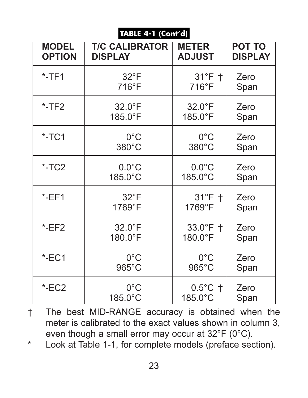#### **TABLE 4-1 (Cont'd)**

| <b>MODEL</b>  | <b>T/C CALIBRATOR</b> | <b>METER</b>       | <b>POT TO</b>  |
|---------------|-----------------------|--------------------|----------------|
| <b>OPTION</b> | <b>DISPLAY</b>        | <b>ADJUST</b>      | <b>DISPLAY</b> |
| $*$ -TF1      | $32^{\circ}F$         | $31^\circ F$ †     | Zero           |
|               | $716^{\circ}F$        | $716^{\circ}F$     | Span           |
| $*$ -TF2      | $32.0^{\circ}F$       | $32.0^{\circ}F$    | Zero           |
|               | 185.0°F               | 185.0°F            | Span           |
| $*$ -TC1      | $0^{\circ}$ C         | $0^{\circ}$ C      | Zero           |
|               | 380°C                 | 380°C              | Span           |
| $*$ -TC2      | $0.0^{\circ}$ C       | $0.0^{\circ}$ C    | Zero           |
|               | 185.0°C               | 185.0°C            | Span           |
| EET           | $32^{\circ}F$         | $31^\circ$ F †     | Zero           |
|               | 1769°F                | 1769°F             | Span           |
| EET2          | 32.0°F                | $33.0^{\circ}$ F + | Zero           |
|               | 180.0°F               | 180.0°F            | Span           |
| $E$ -EC1      | $0^{\circ}$ C         | $0^{\circ}$ C      | Zero           |
|               | $965^{\circ}$ C       | $965^{\circ}$ C    | Span           |
| ECC2          | $0^{\circ}$ C         | $0.5^{\circ}$ C †  | Zero           |
|               | 185.0°C               | 185.0°C            | Span           |

- † The best MID-RANGE accuracy is obtained when the meter is calibrated to the exact values shown in column 3, even though a small error may occur at 32°F (0°C).
- \* Look at Table 1-1, for complete models (preface section).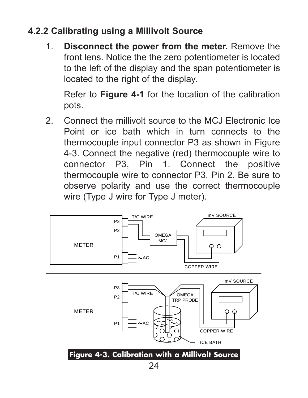### **4.2.2 Calibrating using a Millivolt Source**

1. **Disconnect the power from the meter.** Remove the front lens. Notice the the zero potentiometer is located to the left of the display and the span potentiometer is located to the right of the display.

Refer to **Figure 4-1** for the location of the calibration pots.

2. Connect the millivolt source to the MCJ Electronic Ice Point or ice bath which in turn connects to the thermocouple input connector P3 as shown in Figure 4-3. Connect the negative (red) thermocouple wire to connector P3, Pin 1. Connect the positive thermocouple wire to connector P3, Pin 2. Be sure to observe polarity and use the correct thermocouple wire (Type J wire for Type J meter).

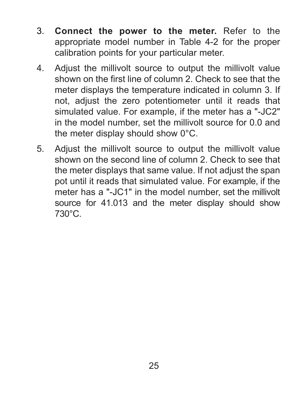- 3. **Connect the power to the meter.** Refer to the appropriate model number in Table 4-2 for the proper calibration points for your particular meter.
- 4. Adjust the millivolt source to output the millivolt value shown on the first line of column 2. Check to see that the meter displays the temperature indicated in column 3. If not, adjust the zero potentiometer until it reads that simulated value. For example, if the meter has a "-JC2" in the model number, set the millivolt source for 0.0 and the meter display should show 0°C.
- 5. Adjust the millivolt source to output the millivolt value shown on the second line of column 2. Check to see that the meter displays that same value. If not adjust the span pot until it reads that simulated value. For example, if the meter has a "-JC1" in the model number, set the millivolt source for 41.013 and the meter display should show 730°C.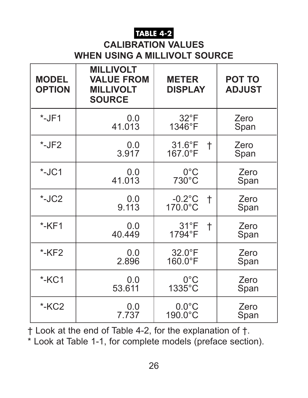#### **TABLE 4-2**

#### **CALIBRATION VALUES WHEN USING A MILLIVOLT SOURCE**

| <b>MODEL</b><br><b>OPTION</b> | <b>MILLIVOLT</b><br><b>VALUE FROM</b><br><b>MILLIVOLT</b><br><b>SOURCE</b> | <b>METER</b><br><b>DISPLAY</b>          | <b>POT TO</b><br><b>ADJUST</b> |
|-------------------------------|----------------------------------------------------------------------------|-----------------------------------------|--------------------------------|
| $*$ -JF1                      | 0.0                                                                        | $32^{\circ}F$                           | Zero                           |
|                               | 41.013                                                                     | 1346°F                                  | Span                           |
| $*-JF2$                       | 0.0<br>3.917                                                               | $31.6^{\circ}F$<br>$\dagger$<br>167.0°F | Zero<br>Span                   |
| $*$ -JC1                      | 0.0                                                                        | $0^{\circ}$ C                           | Zero                           |
|                               | 41.013                                                                     | 730°C                                   | Span                           |
| $*$ -JC2                      | 0.0<br>9.113                                                               | $-0.2$ °C<br>$\ddagger$<br>170.0°C      | Zero<br>Span                   |
| $*$ -KF1                      | 0.0<br>40.449                                                              | $31^{\circ}F$<br>$^\dagger$<br>1794°F   | Zero<br>Span                   |
| $*$ -KF2                      | 0.0                                                                        | $32.0^{\circ}F$                         | Zero                           |
|                               | 2.896                                                                      | 160.0°F                                 | Span                           |
| $*$ -KC1                      | 0.0                                                                        | $0^{\circ}$ C                           | Zero                           |
|                               | 53.611                                                                     | 1335°C                                  | Span                           |
| $*$ -KC <sub>2</sub>          | 0.0                                                                        | $0.0^{\circ}$ C                         | Zero                           |
|                               | 7.737                                                                      | 190.0°C                                 | Span                           |

† Look at the end of Table 4-2, for the explanation of †.

\* Look at Table 1-1, for complete models (preface section).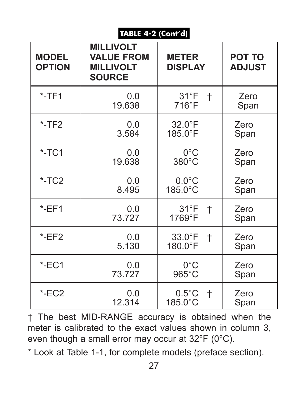#### **TABLE 4-2 (Cont'd)**

| <b>MODEL</b><br><b>OPTION</b> | <b>MILLIVOLT</b><br><b>VALUE FROM</b><br><b>MILLIVOLT</b><br><b>SOURCE</b> | <b>METER</b><br><b>DISPLAY</b>                | <b>POT TO</b><br><b>ADJUST</b> |
|-------------------------------|----------------------------------------------------------------------------|-----------------------------------------------|--------------------------------|
| $*$ -TF1                      | 0.0<br>19.638                                                              | $31^{\circ}F$<br>$\ddagger$<br>$716^{\circ}F$ | Zero<br>Span                   |
| $*$ -TF2                      | 0.0<br>3.584                                                               | $32.0^{\circ}F$<br>185.0°F                    | Zero<br>Span                   |
| $*$ -TC1                      | 0.0<br>19.638                                                              | $0^{\circ}$ C<br>380°C                        | Zero<br>Span                   |
| $*$ -TC2                      | 0.0<br>8.495                                                               | $0.0^{\circ}$ C<br>185.0°C                    | Zero<br>Span                   |
| $E$ -EF1                      | 0.0<br>73.727                                                              | $31^{\circ}F$<br>$^\dagger$<br>1769°F         | Zero<br>Span                   |
| $E$ -EF2                      | 0.0<br>5.130                                                               | $33.0^{\circ}F$<br>Ť<br>$180.0$ °F            | Zero<br>Span                   |
| $E$ -EC1                      | 0.0<br>73.727                                                              | $0^{\circ}$ C<br>$965^{\circ}$ C              | Zero<br>Span                   |
| ECC2                          | 0.0<br>12.314                                                              | $0.5^{\circ}$ C<br>$\pm$<br>185.0°C           | Zero<br>Span                   |

† The best MID-RANGE accuracy is obtained when the meter is calibrated to the exact values shown in column 3, even though a small error may occur at 32°F (0°C).

\* Look at Table 1-1, for complete models (preface section).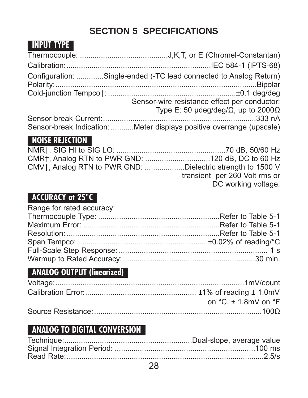# **SECTION 5 SPECIFICATIONS**

### **INPUT TYPE**

| Configuration: Single-ended (-TC lead connected to Analog Return)    |
|----------------------------------------------------------------------|
|                                                                      |
| Sensor-wire resistance effect per conductor:                         |
| Type E: 50 $\mu$ deg/deg/ $\Omega$ , up to 2000 $\Omega$             |
|                                                                      |
| Sensor-break Indication: Meter displays positive overrange (upscale) |

#### **NOISE REJECTION**

| CMV <sub>†</sub> , Analog RTN to PWR GND: Dielectric strength to 1500 V |                               |
|-------------------------------------------------------------------------|-------------------------------|
|                                                                         | transient per 260 Volt rms or |
|                                                                         | DC working voltage.           |
|                                                                         |                               |

#### **ACCURACY at 25°C**

| Range for rated accuracy: |  |
|---------------------------|--|
|                           |  |
|                           |  |
|                           |  |
|                           |  |
|                           |  |
|                           |  |

#### **ANALOG OUTPUT (linearized)**

| on $^{\circ}$ C. $\pm$ 1.8mV on $^{\circ}$ F |
|----------------------------------------------|
|                                              |

#### **ANALOG TO DIGITAL CONVERSION**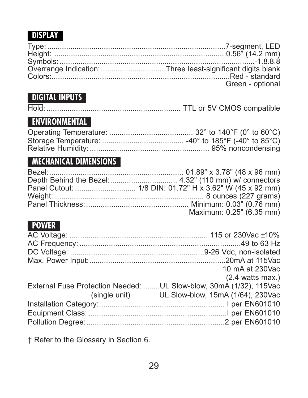### **DISPLAY**

| Overrange Indication: Three least-significant digits blank |
|------------------------------------------------------------|
|                                                            |
| Green - optional                                           |

### **DIGITAL INPUTS**

|--|--|--|--|--|

### **ENVIRONMENTAL**

### **MECHANICAL DIMENSIONS**

| Maximum: 0.25" (6.35 mm) |
|--------------------------|

#### **POWER**

| 10 mA at 230Vac                                                     |
|---------------------------------------------------------------------|
| $(2.4 \text{ watts max.})$                                          |
| External Fuse Protection Needed:  UL Slow-blow, 30mA (1/32), 115Vac |
| (single unit) UL Slow-blow, 15mA (1/64), 230Vac                     |
|                                                                     |
|                                                                     |
|                                                                     |
|                                                                     |

† Refer to the Glossary in Section 6.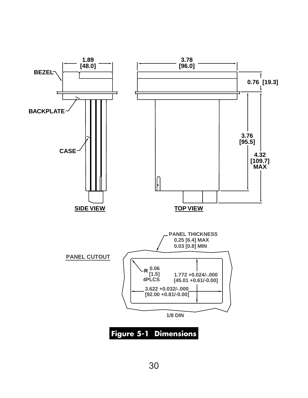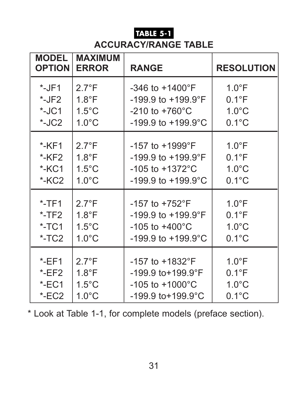### **TABLE 5-1 ACCURACY/RANGE TABLE**

| <b>MODEL</b><br><b>OPTION</b> | <b>MAXIMUM</b><br><b>ERROR</b> | <b>RANGE</b>                    | <b>RESOLUTION</b> |
|-------------------------------|--------------------------------|---------------------------------|-------------------|
| $*$ -JF1                      | $2.7^{\circ}F$                 | $-346$ to $+1400$ °F            | $1.0^{\circ}F$    |
| $*$ -JF2                      | $1.8^{\circ}F$                 | $-199.9$ to $+199.9$ °F         | $0.1^{\circ}F$    |
| $*$ -JC1                      | $1.5^{\circ}$ C                | $-210$ to $+760^{\circ}$ C      | $1.0^{\circ}$ C   |
| $*$ -JC2                      | $1.0^{\circ}$ C                | $-199.9$ to $+199.9$ °C         | $0.1^{\circ}$ C   |
| $*$ -KF1                      | $2.7^{\circ}F$                 | $-157$ to $+1999$ °F            | $1.0^{\circ}$ F   |
| $*$ -KF2                      | $1.8^{\circ}F$                 | $-199.9$ to $+199.9$ °F         | $0.1^{\circ}F$    |
| $*$ -KC1                      | $1.5^{\circ}$ C                | $-105$ to $+1372^{\circ}$ C     | $1.0^{\circ}$ C   |
| $*$ -KC <sub>2</sub>          | $1.0^{\circ}$ C                | $-199.9$ to $+199.9$ °C         | $0.1^{\circ}$ C   |
| $*$ -TF1                      | $2.7^{\circ}F$                 | $-157$ to $+752^{\circ}F$       | $1.0^{\circ}F$    |
| $*$ -TF2                      | $1.8^{\circ}$ F                | $-199.9$ to $+199.9$ °F         | $0.1^{\circ}F$    |
| $*$ -TC1                      | $1.5^{\circ}$ C                | $-105$ to $+400^{\circ}$ C      | $1.0^{\circ}$ C   |
| $*$ -TC <sub>2</sub>          | $1.0^{\circ}$ C                | $-199.9$ to $+199.9$ °C         | $0.1^{\circ}$ C   |
| $E$ -EF1                      | $2.7^{\circ}F$                 | $-157$ to $+1832$ °F            | $1.0^{\circ}F$    |
| EET2                          | $1.8^{\circ}F$                 | $-199.9$ to $+199.9$ °F         | $0.1^{\circ}F$    |
| $E$ -EC1                      | $1.5^{\circ}$ C                | $-105$ to $+1000^{\circ}$ C     | $1.0^{\circ}$ C   |
| ECC2                          | $1.0^{\circ}$ C                | $-199.9$ to + $199.9^{\circ}$ C | $0.1^{\circ}$ C   |

\* Look at Table 1-1, for complete models (preface section).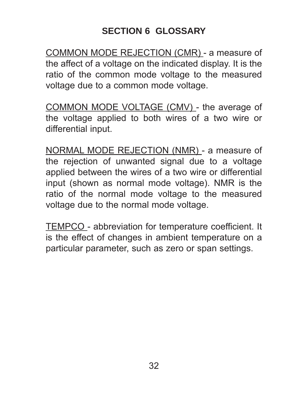### **SECTION 6 GLOSSARY**

COMMON MODE REJECTION (CMR) - a measure of the affect of a voltage on the indicated display. It is the ratio of the common mode voltage to the measured voltage due to a common mode voltage.

COMMON MODE VOLTAGE (CMV) - the average of the voltage applied to both wires of a two wire or differential input.

NORMAL MODE REJECTION (NMR) - a measure of the rejection of unwanted signal due to a voltage applied between the wires of a two wire or differential input (shown as normal mode voltage). NMR is the ratio of the normal mode voltage to the measured voltage due to the normal mode voltage.

TEMPCO - abbreviation for temperature coefficient. It is the effect of changes in ambient temperature on a particular parameter, such as zero or span settings.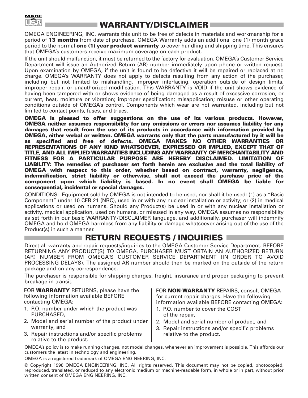

#### **WARRANTY/DISCLAIMER**

OMEGA ENGINEERING, INC. warrants this unit to be free of defects in materials and workmanship for a period of **13 months** from date of purchase. OMEGA Warranty adds an additional one (1) month grace period to the normal **one (1) year product warranty** to cover handling and shipping time. This ensures that OMEGA's customers receive maximum coverage on each product.

If the unit should malfunction, it must be returned to the factory for evaluation. OMEGA's Customer Service Department will issue an Authorized Return (AR) number immediately upon phone or written request. Upon examination by OMEGA, if the unit is found to be defective it will be repaired or replaced at no charge. OMEGA's WARRANTY does not apply to defects resulting from any action of the purchaser, including but not limited to mishandling, improper interfacing, operation outside of design limits, improper repair, or unauthorized modification. This WARRANTY is VOID if the unit shows evidence of having been tampered with or shows evidence of being damaged as a result of excessive corrosion; or current, heat, moisture or vibration; improper specification; misapplication; misuse or other operating conditions outside of OMEGA's control. Components which wear are not warranted, including but not limited to contact points, fuses, and triacs.

**OMEGA is pleased to offer suggestions on the use of its various products. However, OMEGA neither assumes responsibility for any omissions or errors nor assumes liability for any damages that result from the use of its products in accordance with information provided by OMEGA, either verbal or written. OMEGA warrants only that the parts manufactured by it will be as specified and free of defects. OMEGA MAKES NO OTHER WARRANTIES OR REPRESENTATIONS OF ANY KIND WHATSOEVER, EXPRESSED OR IMPLIED, EXCEPT THAT OF TITLE, AND ALL IMPLIED WARRANTIES INCLUDING ANY WARRANTY OF MERCHANTABILITY AND FITNESS FOR A PARTICULAR PURPOSE ARE HEREBY DISCLAIMED. LIMITATION OF LIABILITY: The remedies of purchaser set forth herein are exclusive and the total liability of OMEGA with respect to this order, whether based on contract, warranty, negligence, indemnification, strict liability or otherwise, shall not exceed the purchase price of the component upon which liability is based. In no event shall OMEGA be liable for consequential, incidental or special damages.**

CONDITIONS: Equipment sold by OMEGA is not intended to be used, nor shall it be used: (1) as a "Basic Component" under 10 CFR 21 (NRC), used in or with any nuclear installation or activity; or (2) in medical applications or used on humans. Should any Product(s) be used in or with any nuclear installation or activity, medical application, used on humans, or misused in any way, OMEGA assumes no responsibility as set forth in our basic WARRANTY/ DISCLAIMER language, and additionally, purchaser will indemnify OMEGA and hold OMEGA harmless from any liability or damage whatsoever arising out of the use of the Product(s) in such a manner.

#### **RETURN REQUESTS / INQUIRIES**

Direct all warranty and repair requests/inquiries to the OMEGA Customer Service Department. BEFORE RETURNING ANY PRODUCT(S) TO OMEGA, PURCHASER MUST OBTAIN AN AUTHORIZED RETURN (AR) NUMBER FROM OMEGA'S CUSTOMER SERVICE DEPARTMENT (IN ORDER TO AVOID PROCESSING DELAYS). The assigned AR number should then be marked on the outside of the return package and on any correspondence.

The purchaser is responsible for shipping charges, freight, insurance and proper packaging to prevent breakage in transit.

FOR **WARRANTY** RETURNS, please have the following information available BEFORE contacting OMEGA:

- 1. P.O. number under which the product was PURCHASED,
- 2. Model and serial number of the product under warranty, and
- 3. Repair instructions and/or specific problems relative to the product.

FOR **NON-WARRANTY** REPAIRS, consult OMEGA for current repair charges. Have the following information available BEFORE contacting OMEGA:

- 1. P.O. number to cover the COST of the repair,
- 2. Model and serial number of product, and
- 3. Repair instructions and/or specific problems relative to the product.

OMEGA's policy is to make running changes, not model changes, whenever an improvement is possible. This affords our customers the latest in technology and engineering.

OMEGA is a registered trademark of OMEGA ENGINEERING, INC.

© Copyright 1998 OMEGA ENGINEERING, INC. All rights reserved. This document may not be copied, photocopied, reproduced, translated, or reduced to any electronic medium or machine-readable form, in whole or in part, without prior written consent of OMEGA ENGINEERING, INC.